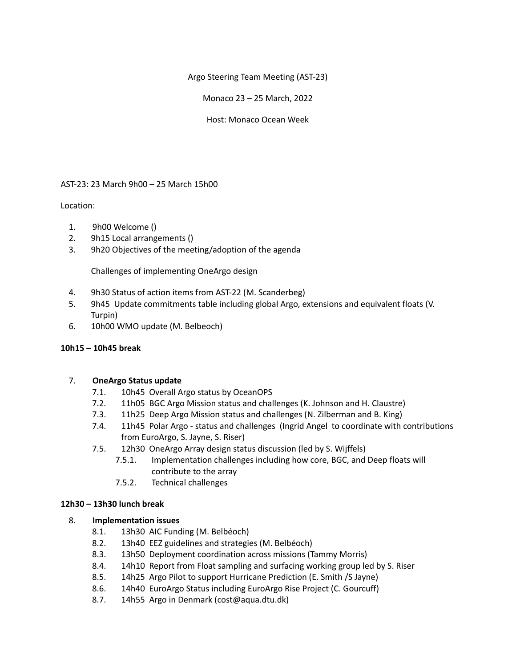Argo Steering Team Meeting (AST-23)

Monaco 23 – 25 March, 2022

Host: Monaco Ocean Week

# AST-23: 23 March 9h00 – 25 March 15h00

# Location:

- 1. 9h00 Welcome ()
- 2. 9h15 Local arrangements ()
- 3. 9h20 Objectives of the meeting/adoption of the agenda

Challenges of implementing OneArgo design

- 4. 9h30 Status of action items from AST-22 (M. Scanderbeg)
- 5. 9h45 Update commitments table including global Argo, extensions and equivalent floats (V. Turpin)
- 6. 10h00 WMO update (M. Belbeoch)

## **10h15 – 10h45 break**

## 7. **OneArgo Status update**

- 7.1. 10h45 Overall Argo status by OceanOPS
- 7.2. 11h05 BGC Argo Mission status and challenges (K. Johnson and H. Claustre)
- 7.3. 11h25 Deep Argo Mission status and challenges (N. Zilberman and B. King)
- 7.4. 11h45 Polar Argo status and challenges (Ingrid Angel to coordinate with contributions from EuroArgo, S. Jayne, S. Riser)
- 7.5. 12h30 OneArgo Array design status discussion (led by S. Wijffels)
	- 7.5.1. Implementation challenges including how core, BGC, and Deep floats will contribute to the array
	- 7.5.2. Technical challenges

## **12h30 – 13h30 lunch break**

# 8. **Implementation issues**

- 8.1. 13h30 AIC Funding (M. Belbéoch)
- 8.2. 13h40 EEZ guidelines and strategies (M. Belbéoch)
- 8.3. 13h50 Deployment coordination across missions (Tammy Morris)
- 8.4. 14h10 Report from Float sampling and surfacing working group led by S. Riser
- 8.5. 14h25 Argo Pilot to support Hurricane Prediction (E. Smith /S Jayne)
- 8.6. 14h40 EuroArgo Status including EuroArgo Rise Project (C. Gourcuff)
- 8.7. 14h55 Argo in Denmark (cost@aqua.dtu.dk)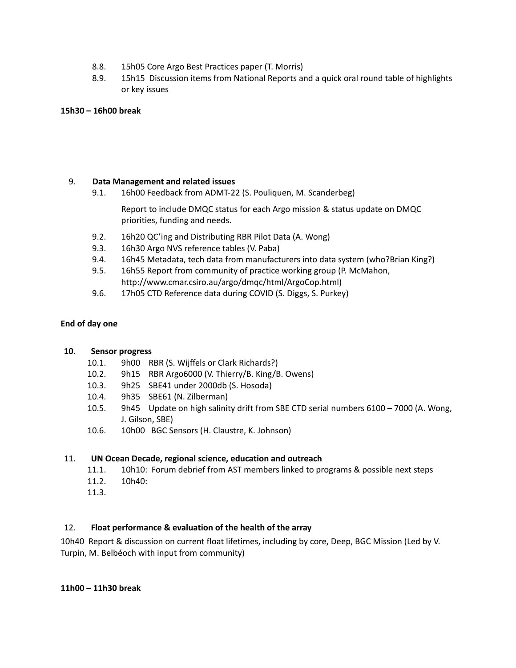- 8.8. 15h05 Core Argo Best Practices paper (T. Morris)
- 8.9. 15h15 Discussion items from National Reports and a quick oral round table of highlights or key issues

## **15h30 – 16h00 break**

# 9. **Data Management and related issues**

9.1. 16h00 Feedback from ADMT-22 (S. Pouliquen, M. Scanderbeg)

Report to include DMQC status for each Argo mission & status update on DMQC priorities, funding and needs.

- 9.2. 16h20 QC'ing and Distributing RBR Pilot Data (A. Wong)
- 9.3. 16h30 Argo NVS reference tables (V. Paba)
- 9.4. 16h45 Metadata, tech data from manufacturers into data system (who?Brian King?)
- 9.5. 16h55 Report from community of practice working group (P. McMahon, http://www.cmar.csiro.au/argo/dmqc/html/ArgoCop.html)
- 9.6. 17h05 CTD Reference data during COVID (S. Diggs, S. Purkey)

## **End of day one**

## **10. Sensor progress**

- 10.1. 9h00 RBR (S. Wijffels or Clark Richards?)
- 10.2. 9h15 RBR Argo6000 (V. Thierry/B. King/B. Owens)
- 10.3. 9h25 SBE41 under 2000db (S. Hosoda)
- 10.4. 9h35 SBE61 (N. Zilberman)
- 10.5. 9h45 Update on high salinity drift from SBE CTD serial numbers 6100 7000 (A. Wong, J. Gilson, SBE)
- 10.6. 10h00 BGC Sensors (H. Claustre, K. Johnson)

## 11. **UN Ocean Decade, regional science, education and outreach**

- 11.1. 10h10: Forum debrief from AST members linked to programs & possible next steps
- 11.2. 10h40:
- 11.3.

## 12. **Float performance & evaluation of the health of the array**

10h40 Report & discussion on current float lifetimes, including by core, Deep, BGC Mission (Led by V. Turpin, M. Belbéoch with input from community)

**11h00 – 11h30 break**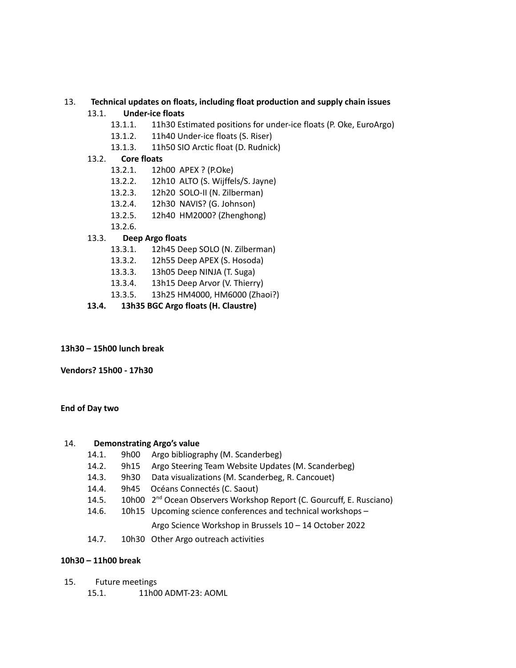# 13. **Technical updates on floats, including float production and supply chain issues**

# 13.1. **Under-ice floats**

- 13.1.1. 11h30 Estimated positions for under-ice floats (P. Oke, EuroArgo)
- 13.1.2. 11h40 Under-ice floats (S. Riser)
- 13.1.3. 11h50 SIO Arctic float (D. Rudnick)

## 13.2. **Core floats**

- 13.2.1. 12h00 APEX ? (P.Oke)
- 13.2.2. 12h10 ALTO (S. Wijffels/S. Jayne)
- 13.2.3. 12h20 SOLO-II (N. Zilberman)
- 13.2.4. 12h30 NAVIS? (G. Johnson)
- 13.2.5. 12h40 HM2000? (Zhenghong)
- 13.2.6.

## 13.3. **Deep Argo floats**

- 13.3.1. 12h45 Deep SOLO (N. Zilberman)
- 13.3.2. 12h55 Deep APEX (S. Hosoda)
- 13.3.3. 13h05 Deep NINJA (T. Suga)
- 13.3.4. 13h15 Deep Arvor (V. Thierry)
- 13.3.5. 13h25 HM4000, HM6000 (Zhaoi?)
- **13.4. 13h35 BGC Argo floats (H. Claustre)**

## **13h30 – 15h00 lunch break**

**Vendors? 15h00 - 17h30**

#### **End of Day two**

#### 14. **Demonstrating Argo's value**

- 14.1. 9h00 Argo bibliography (M. Scanderbeg)
- 14.2. 9h15 Argo Steering Team Website Updates (M. Scanderbeg)
- 14.3. 9h30 Data visualizations (M. Scanderbeg, R. Cancouet)
- 14.4. 9h45 Océans Connectés (C. Saout)
- 14.5. 10h00 2<sup>nd</sup> Ocean Observers Workshop Report (C. Gourcuff, E. Rusciano)
- 14.6. 10h15 Upcoming science conferences and technical workshops –

## Argo Science Workshop in Brussels 10 – 14 October 2022

14.7. 10h30 Other Argo outreach activities

## **10h30 – 11h00 break**

- 15. Future meetings
	- 15.1. 11h00 ADMT-23: AOML